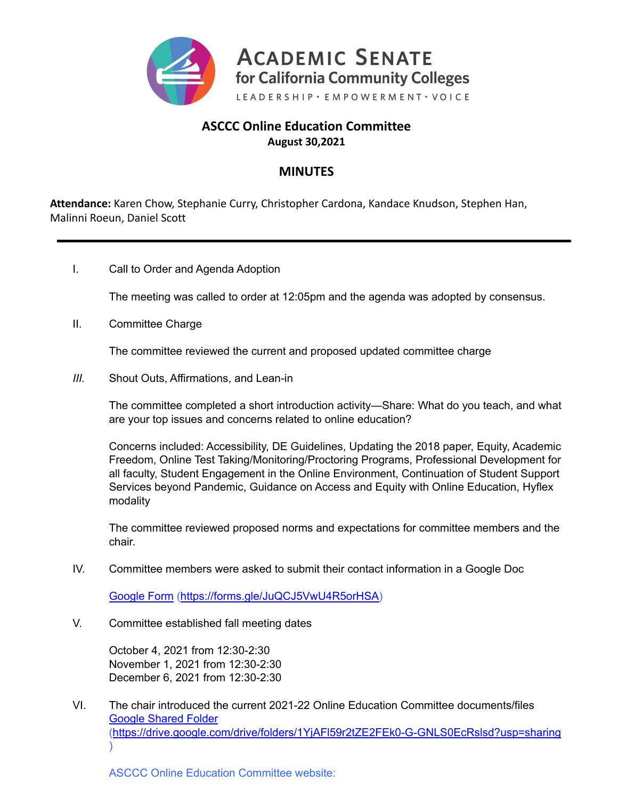

# **ASCCC Online Education Committee August 30,2021**

# **MINUTES**

**Attendance:** Karen Chow, Stephanie Curry, Christopher Cardona, Kandace Knudson, Stephen Han, Malinni Roeun, Daniel Scott

I. Call to Order and Agenda Adoption

The meeting was called to order at 12:05pm and the agenda was adopted by consensus.

II. Committee Charge

The committee reviewed the current and proposed updated committee charge

*III.* Shout Outs, Affirmations, and Lean-in

The committee completed a short introduction activity—Share: What do you teach, and what are your top issues and concerns related to online education?

Concerns included: Accessibility, DE Guidelines, Updating the 2018 paper, Equity, Academic Freedom, Online Test Taking/Monitoring/Proctoring Programs, Professional Development for all faculty, Student Engagement in the Online Environment, Continuation of Student Support Services beyond Pandemic, Guidance on Access and Equity with Online Education, Hyflex modality

The committee reviewed proposed norms and expectations for committee members and the chair.

IV. Committee members were asked to submit their contact information in a Google Doc

[Google](https://forms.gle/JuQCJ5VwU4R5orHSA) Form ([https://forms.gle/JuQCJ5VwU4R5orHSA\)](https://forms.gle/JuQCJ5VwU4R5orHSA)

V. Committee established fall meeting dates

October 4, 2021 from 12:30-2:30 November 1, 2021 from 12:30-2:30 December 6, 2021 from 12:30-2:30

VI. The chair introduced the current 2021-22 Online Education Committee documents/files [Google](https://drive.google.com/drive/folders/19Mcdxew-JeUnbYut5tlljYZssp94iyFX?usp=sharing) Shared Folder (<https://drive.google.com/drive/folders/1YjAFl59r2tZE2FEk0-G-GNLS0EcRslsd?usp=sharing>  $\mathcal{L}$ 

ASCCC Online Education Committee website: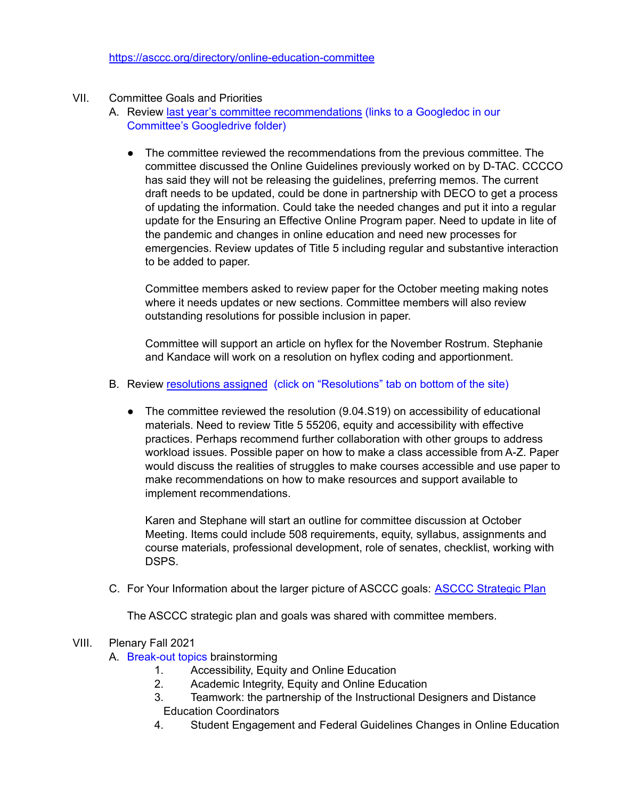#### <https://asccc.org/directory/online-education-committee>

### VII. Committee Goals and Priorities

- A. Review last year's committee [recommendations](https://docs.google.com/document/d/1zWBONpIZhpUIUUFPVs6mY02qI4aKL3VFQ1UIp_Et1k4/edit?usp=sharing) (links to a Googledoc in our Committee's Googledrive folder)
	- The committee reviewed the recommendations from the previous committee. The committee discussed the Online Guidelines previously worked on by D-TAC. CCCCO has said they will not be releasing the guidelines, preferring memos. The current draft needs to be updated, could be done in partnership with DECO to get a process of updating the information. Could take the needed changes and put it into a regular update for the Ensuring an Effective Online Program paper. Need to update in lite of the pandemic and changes in online education and need new processes for emergencies. Review updates of Title 5 including regular and substantive interaction to be added to paper.

Committee members asked to review paper for the October meeting making notes where it needs updates or new sections. Committee members will also review outstanding resolutions for possible inclusion in paper.

Committee will support an article on hyflex for the November Rostrum. Stephanie and Kandace will work on a resolution on hyflex coding and apportionment.

#### B. Review [resolutions](https://asccc.org/directory/online-education-committee) assigned (click on "Resolutions" tab on bottom of the site)

• The committee reviewed the resolution (9.04.S19) on accessibility of educational materials. Need to review Title 5 55206, equity and accessibility with effective practices. Perhaps recommend further collaboration with other groups to address workload issues. Possible paper on how to make a class accessible from A-Z. Paper would discuss the realities of struggles to make courses accessible and use paper to make recommendations on how to make resources and support available to implement recommendations.

Karen and Stephane will start an outline for committee discussion at October Meeting. Items could include 508 requirements, equity, syllabus, assignments and course materials, professional development, role of senates, checklist, working with DSPS.

C. For Your Information about the larger picture of ASCCC goals: ASCCC [Strategic](https://asccc.org/sites/default/files/ASCCC_Strategic_Plan_2018-2023_final.pdf) Plan

The ASCCC strategic plan and goals was shared with committee members.

#### VIII. Plenary Fall 2021

- A. Break-out topics brainstorming
	- 1. Accessibility, Equity and Online Education
	- 2. Academic Integrity, Equity and Online Education
	- 3. Teamwork: the partnership of the Instructional Designers and Distance Education Coordinators
	- 4. Student Engagement and Federal Guidelines Changes in Online Education